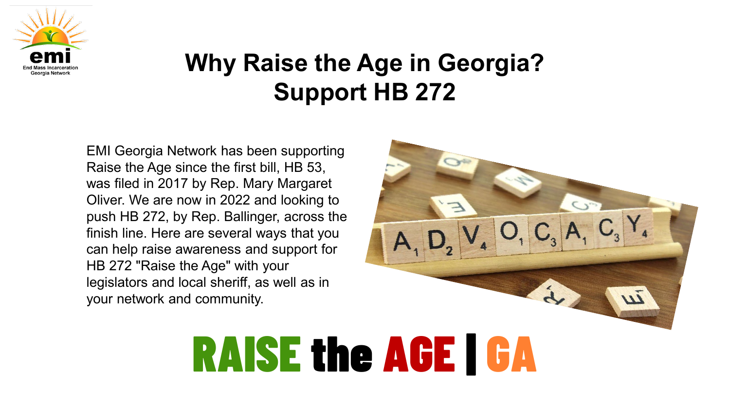

EMI Georgia Network has been supporting Raise the Age since the first bill, HB 53, was filed in 2017 by Rep. Mary Margaret Oliver. We are now in 2022 and looking to push HB 272, by Rep. Ballinger, across the finish line. Here are several ways that you can help raise awareness and support for HB 272 "Raise the Age" with your legislators and local sheriff, as well as in your network and community.

# RAISE the AGE | GA

 $O, C$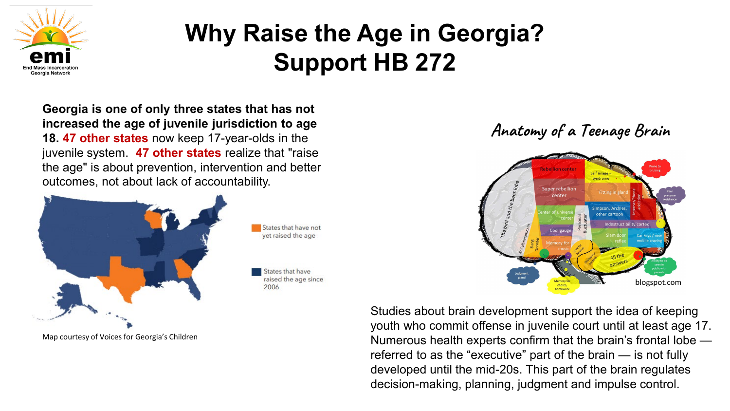

**Georgia is one of only three states that has not increased the age of juvenile jurisdiction to age 18. 47 other states** now keep 17-year-olds in the juvenile system. **47 other states** realize that "raise the age" is about prevention, intervention and better outcomes, not about lack of accountability.



Map courtesy of Voices for Georgia's Children

**Anatomy of a Teenage Brain**



Studies about brain development support the idea of keeping youth who commit offense in juvenile court until at least age 17. Numerous health experts confirm that the brain's frontal lobe referred to as the "executive" part of the brain — is not fully developed until the mid-20s. This part of the brain regulates decision-making, planning, judgment and impulse control.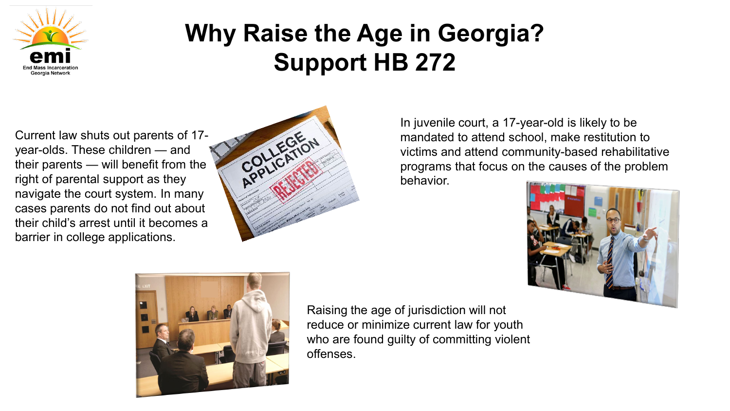

Current law shuts out parents of 17 year-olds. These children — and their parents — will benefit from the right of parental support as they navigate the court system. In many cases parents do not find out about their child's arrest until it becomes a barrier in college applications.



In juvenile court, a 17-year-old is likely to be mandated to attend school, make restitution to victims and attend community-based rehabilitative programs that focus on the causes of the problem behavior.





Raising the age of jurisdiction will not reduce or minimize current law for youth who are found guilty of committing violent offenses.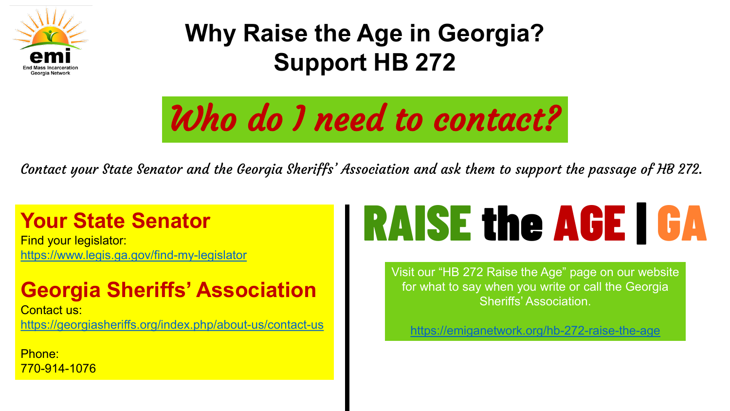

Who do I need to contact?

Contact your State Senator and the Georgia Sheriffs' Association and ask them to support the passage of HB 272.

### **Your State Senator**

Find your legislator: <https://www.legis.ga.gov/find-my-legislator>

### **Georgia Sheriffs' Association**

Contact us: <https://georgiasheriffs.org/index.php/about-us/contact-us>

Phone: 770-914-1076

# RAISE the AGE | GA

Visit our "HB 272 Raise the Age" page on our website for what to say when you write or call the Georgia Sheriffs' Association.

<https://emiganetwork.org/hb-272-raise-the-age>